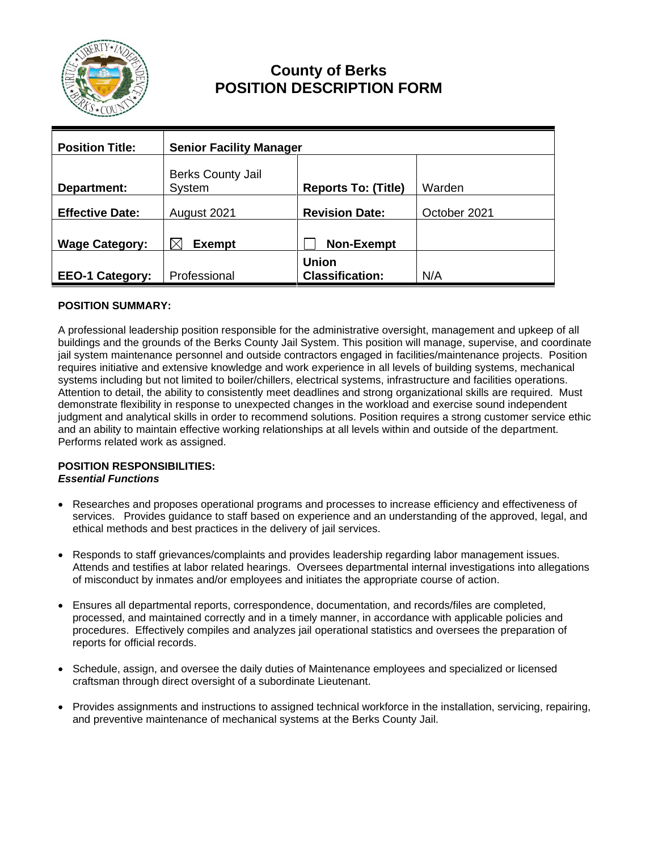

# **County of Berks POSITION DESCRIPTION FORM**

| <b>Position Title:</b> | <b>Senior Facility Manager</b>     |                                        |              |
|------------------------|------------------------------------|----------------------------------------|--------------|
| Department:            | <b>Berks County Jail</b><br>System | <b>Reports To: (Title)</b>             | Warden       |
| <b>Effective Date:</b> | August 2021                        | <b>Revision Date:</b>                  | October 2021 |
| <b>Wage Category:</b>  | <b>Exempt</b>                      | <b>Non-Exempt</b>                      |              |
| <b>EEO-1 Category:</b> | Professional                       | <b>Union</b><br><b>Classification:</b> | N/A          |

### **POSITION SUMMARY:**

A professional leadership position responsible for the administrative oversight, management and upkeep of all buildings and the grounds of the Berks County Jail System. This position will manage, supervise, and coordinate jail system maintenance personnel and outside contractors engaged in facilities/maintenance projects. Position requires initiative and extensive knowledge and work experience in all levels of building systems, mechanical systems including but not limited to boiler/chillers, electrical systems, infrastructure and facilities operations. Attention to detail, the ability to consistently meet deadlines and strong organizational skills are required. Must demonstrate flexibility in response to unexpected changes in the workload and exercise sound independent judgment and analytical skills in order to recommend solutions. Position requires a strong customer service ethic and an ability to maintain effective working relationships at all levels within and outside of the department. Performs related work as assigned.

#### **POSITION RESPONSIBILITIES:** *Essential Functions*

- Researches and proposes operational programs and processes to increase efficiency and effectiveness of services. Provides guidance to staff based on experience and an understanding of the approved, legal, and ethical methods and best practices in the delivery of jail services.
- Responds to staff grievances/complaints and provides leadership regarding labor management issues. Attends and testifies at labor related hearings. Oversees departmental internal investigations into allegations of misconduct by inmates and/or employees and initiates the appropriate course of action.
- Ensures all departmental reports, correspondence, documentation, and records/files are completed, processed, and maintained correctly and in a timely manner, in accordance with applicable policies and procedures. Effectively compiles and analyzes jail operational statistics and oversees the preparation of reports for official records.
- Schedule, assign, and oversee the daily duties of Maintenance employees and specialized or licensed craftsman through direct oversight of a subordinate Lieutenant.
- Provides assignments and instructions to assigned technical workforce in the installation, servicing, repairing, and preventive maintenance of mechanical systems at the Berks County Jail.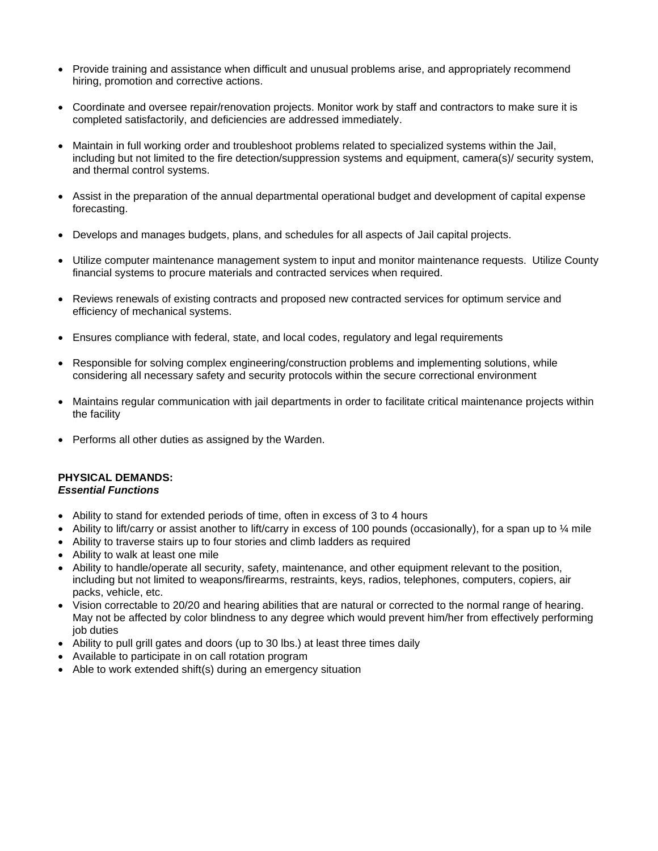- Provide training and assistance when difficult and unusual problems arise, and appropriately recommend hiring, promotion and corrective actions.
- Coordinate and oversee repair/renovation projects. Monitor work by staff and contractors to make sure it is completed satisfactorily, and deficiencies are addressed immediately.
- Maintain in full working order and troubleshoot problems related to specialized systems within the Jail, including but not limited to the fire detection/suppression systems and equipment, camera(s)/ security system, and thermal control systems.
- Assist in the preparation of the annual departmental operational budget and development of capital expense forecasting.
- Develops and manages budgets, plans, and schedules for all aspects of Jail capital projects.
- Utilize computer maintenance management system to input and monitor maintenance requests. Utilize County financial systems to procure materials and contracted services when required.
- Reviews renewals of existing contracts and proposed new contracted services for optimum service and efficiency of mechanical systems.
- Ensures compliance with federal, state, and local codes, regulatory and legal requirements
- Responsible for solving complex engineering/construction problems and implementing solutions, while considering all necessary safety and security protocols within the secure correctional environment
- Maintains regular communication with jail departments in order to facilitate critical maintenance projects within the facility
- Performs all other duties as assigned by the Warden.

#### **PHYSICAL DEMANDS:** *Essential Functions*

- Ability to stand for extended periods of time, often in excess of 3 to 4 hours
- Ability to lift/carry or assist another to lift/carry in excess of 100 pounds (occasionally), for a span up to  $\frac{1}{4}$  mile
- Ability to traverse stairs up to four stories and climb ladders as required
- Ability to walk at least one mile
- Ability to handle/operate all security, safety, maintenance, and other equipment relevant to the position, including but not limited to weapons/firearms, restraints, keys, radios, telephones, computers, copiers, air packs, vehicle, etc.
- Vision correctable to 20/20 and hearing abilities that are natural or corrected to the normal range of hearing. May not be affected by color blindness to any degree which would prevent him/her from effectively performing job duties
- Ability to pull grill gates and doors (up to 30 lbs.) at least three times daily
- Available to participate in on call rotation program
- Able to work extended shift(s) during an emergency situation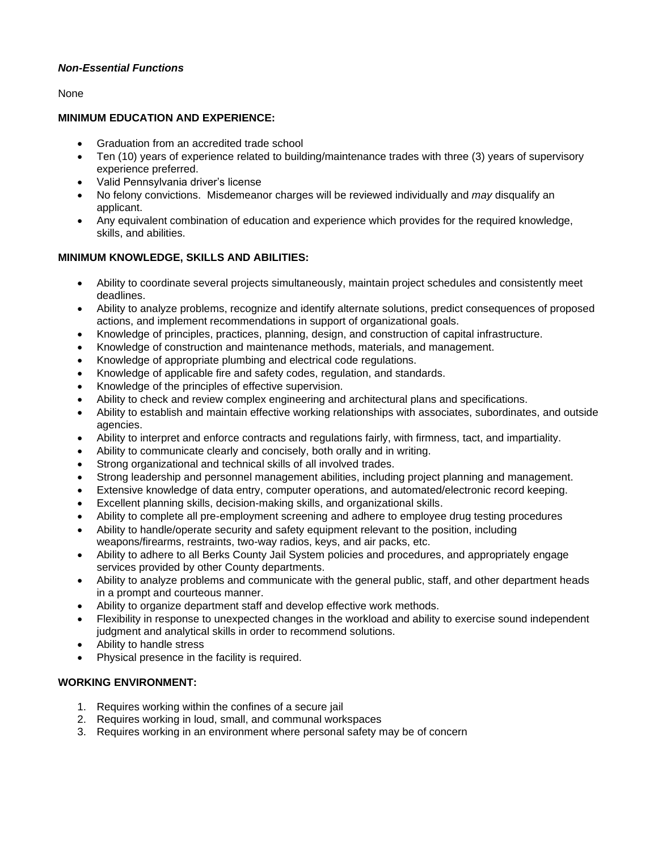### *Non-Essential Functions*

### None

### **MINIMUM EDUCATION AND EXPERIENCE:**

- Graduation from an accredited trade school
- Ten (10) years of experience related to building/maintenance trades with three (3) years of supervisory experience preferred.
- Valid Pennsylvania driver's license
- No felony convictions. Misdemeanor charges will be reviewed individually and *may* disqualify an applicant.
- Any equivalent combination of education and experience which provides for the required knowledge, skills, and abilities.

### **MINIMUM KNOWLEDGE, SKILLS AND ABILITIES:**

- Ability to coordinate several projects simultaneously, maintain project schedules and consistently meet deadlines.
- Ability to analyze problems, recognize and identify alternate solutions, predict consequences of proposed actions, and implement recommendations in support of organizational goals.
- Knowledge of principles, practices, planning, design, and construction of capital infrastructure.
- Knowledge of construction and maintenance methods, materials, and management.
- Knowledge of appropriate plumbing and electrical code regulations.
- Knowledge of applicable fire and safety codes, regulation, and standards.
- Knowledge of the principles of effective supervision.
- Ability to check and review complex engineering and architectural plans and specifications.
- Ability to establish and maintain effective working relationships with associates, subordinates, and outside agencies.
- Ability to interpret and enforce contracts and regulations fairly, with firmness, tact, and impartiality.
- Ability to communicate clearly and concisely, both orally and in writing.
- Strong organizational and technical skills of all involved trades.
- Strong leadership and personnel management abilities, including project planning and management.
- Extensive knowledge of data entry, computer operations, and automated/electronic record keeping.
- Excellent planning skills, decision-making skills, and organizational skills.
- Ability to complete all pre-employment screening and adhere to employee drug testing procedures
- Ability to handle/operate security and safety equipment relevant to the position, including weapons/firearms, restraints, two-way radios, keys, and air packs, etc.
- Ability to adhere to all Berks County Jail System policies and procedures, and appropriately engage services provided by other County departments.
- Ability to analyze problems and communicate with the general public, staff, and other department heads in a prompt and courteous manner.
- Ability to organize department staff and develop effective work methods.
- Flexibility in response to unexpected changes in the workload and ability to exercise sound independent judgment and analytical skills in order to recommend solutions.
- Ability to handle stress
- Physical presence in the facility is required.

### **WORKING ENVIRONMENT:**

- 1. Requires working within the confines of a secure jail
- 2. Requires working in loud, small, and communal workspaces
- 3. Requires working in an environment where personal safety may be of concern